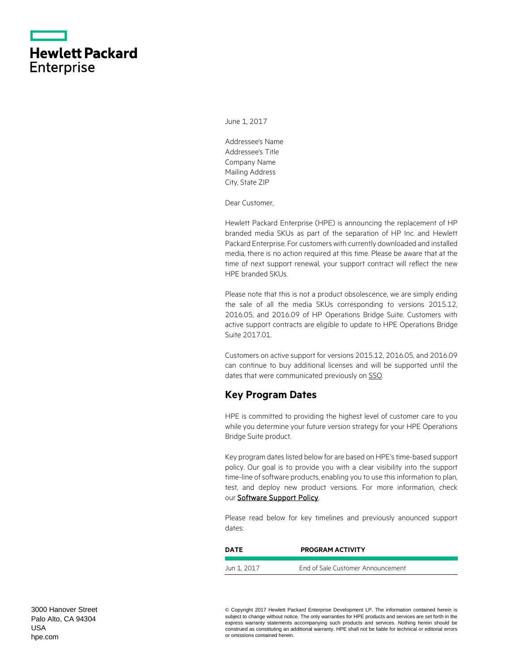|                   | <b>Hewlett Packard</b> |
|-------------------|------------------------|
| <b>Enterprise</b> |                        |

June 1, 2017

Addressee's Name Addressee's Title Company Name Mailing Address City, State ZIP

Dear Customer,

Hewlett Packard Enterprise (HPE) is announcing the replacement of HP branded media SKUs as part of the separation of HP Inc. and Hewlett Packard Enterprise. For customers with currently downloaded and installed media, there is no action required at this time. Please be aware that at the time of next support renewal, your support contract will reflect the new HPE branded SKUs.

Please note that this is not a product obsolescence, we are simply ending the sale of all the media SKUs corresponding to versions 2015.12, 2016.05, and 2016.09 of HP Operations Bridge Suite. Customers with active support contracts are eligible to update to HPE Operations Bridge Suite 2017.01.

Customers on active support for versions 2015.12, 2016.05, and 2016.09 can continue to buy additional licenses and will be supported until the dates that were communicated previously o[n SSO.](https://softwaresupport.hpe.com/web/softwaresupport/obsolescence-migrations#tab4)

### **Key Program Dates**

HPE is committed to providing the highest level of customer care to you while you determine your future version strategy for your HPE Operations Bridge Suite product.

Key program dates listed below for are based on HPE's time-based support policy. Our goal is to provide you with a clear visibility into the support time-line of software products, enabling you to use this information to plan, test, and deploy new product versions. For more information, check our **Software Support Policy**.

Please read below for key timelines and previously anounced support dates:

| DATE        | <b>PROGRAM ACTIVITY</b>           |  |
|-------------|-----------------------------------|--|
|             |                                   |  |
| Jun 1, 2017 | End of Sale Customer Announcement |  |

© Copyright 2017 Hewlett Packard Enterprise Development LP. The information contained herein is subject to change without notice. The only warranties for HPE products and services are set forth in the express warranty statements accompanying such products and services. Nothing herein should be construed as constituting an additional warranty. HPE shall not be liable for technical or editorial errors or omissions contained herein.

3000 Hanover Street Palo Alto, CA 94304 USA [hpe.com](http://www.hpe.com/)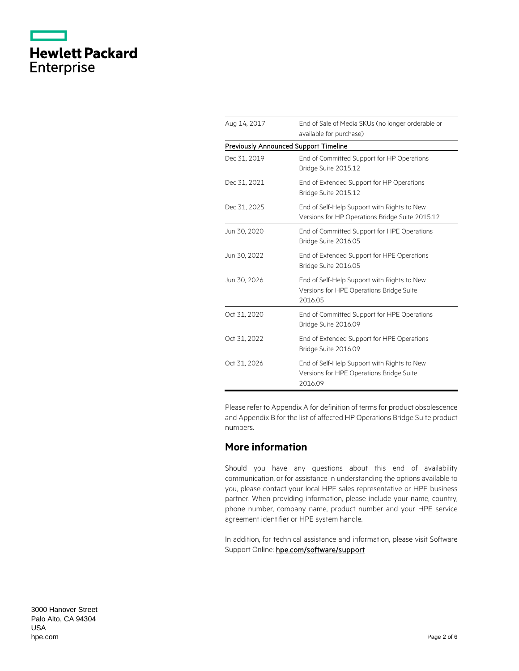|                   | <b>Hewlett Packard</b> |
|-------------------|------------------------|
| <b>Enterprise</b> |                        |

| Aug 14, 2017                                 | End of Sale of Media SKUs (no longer orderable or<br>available for purchase)                       |  |
|----------------------------------------------|----------------------------------------------------------------------------------------------------|--|
| <b>Previously Announced Support Timeline</b> |                                                                                                    |  |
| Dec 31, 2019                                 | End of Committed Support for HP Operations<br>Bridge Suite 2015.12                                 |  |
| Dec 31, 2021                                 | End of Extended Support for HP Operations<br>Bridge Suite 2015.12                                  |  |
| Dec 31, 2025                                 | End of Self-Help Support with Rights to New<br>Versions for HP Operations Bridge Suite 2015.12     |  |
| Jun 30, 2020                                 | End of Committed Support for HPE Operations<br>Bridge Suite 2016.05                                |  |
| Jun 30, 2022                                 | End of Extended Support for HPE Operations<br>Bridge Suite 2016.05                                 |  |
| Jun 30, 2026                                 | End of Self-Help Support with Rights to New<br>Versions for HPE Operations Bridge Suite<br>2016.05 |  |
| Oct 31, 2020                                 | End of Committed Support for HPE Operations<br>Bridge Suite 2016.09                                |  |
| Oct 31, 2022                                 | End of Extended Support for HPE Operations<br>Bridge Suite 2016.09                                 |  |
| Oct 31, 2026                                 | End of Self-Help Support with Rights to New<br>Versions for HPE Operations Bridge Suite<br>2016.09 |  |

Please refer to Appendix A for definition of terms for product obsolescence and Appendix B for the list of affected HP Operations Bridge Suite product numbers.

## **More information**

Should you have any questions about this end of availability communication, or for assistance in understanding the options available to you, please contact your local HPE sales representative or HPE business partner. When providing information, please include your name, country, phone number, company name, product number and your HPE service agreement identifier or HPE system handle.

In addition, for technical assistance and information, please visit Software Support Online: hpe.com/software/support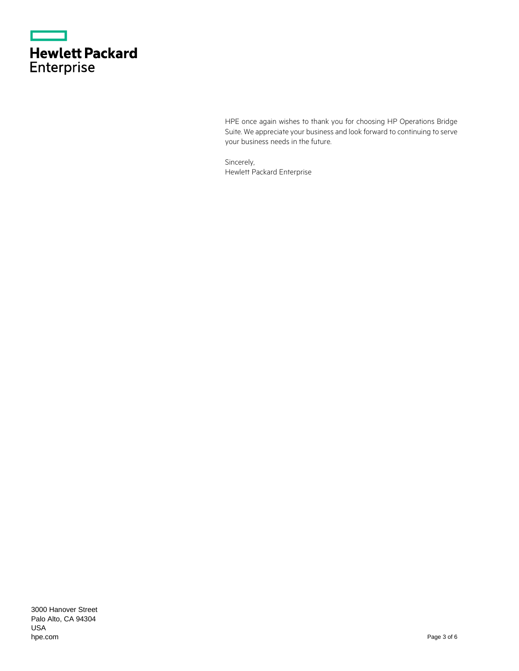|                   | <b>Hewlett Packard</b> |
|-------------------|------------------------|
| <b>Enterprise</b> |                        |

HPE once again wishes to thank you for choosing HP Operations Bridge Suite. We appreciate your business and look forward to continuing to serve your business needs in the future.

Sincerely, Hewlett Packard Enterprise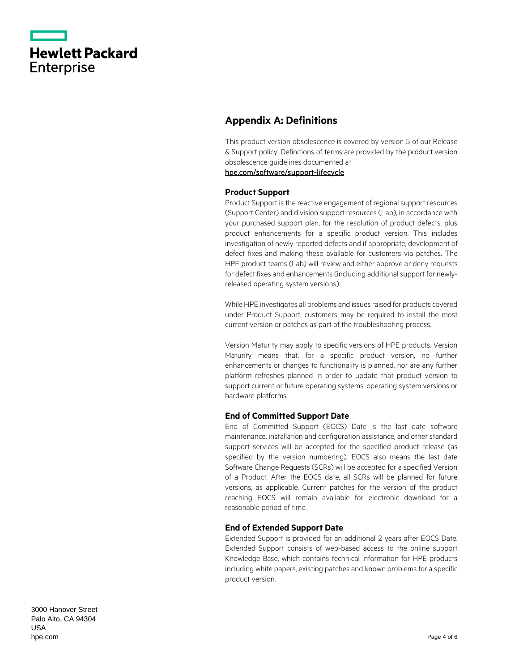|                   | <b>Hewlett Packard</b> |
|-------------------|------------------------|
| <b>Enterprise</b> |                        |

# **Appendix A: Definitions**

This product version obsolescence is covered by version 5 of our Release & Support policy. Definitions of terms are provided by the product version obsolescence guidelines documented at

[hpe.com/software/support-lifecycle](https://www.hpe.com/software/support-lifecycle)

### **Product Support**

Product Support is the reactive engagement of regional support resources (Support Center) and division support resources (Lab), in accordance with your purchased support plan, for the resolution of product defects, plus product enhancements for a specific product version. This includes investigation of newly reported defects and if appropriate, development of defect fixes and making these available for customers via patches. The HPE product teams (Lab) will review and either approve or deny requests for defect fixes and enhancements (including additional support for newlyreleased operating system versions).

While HPE investigates all problems and issues raised for products covered under Product Support, customers may be required to install the most current version or patches as part of the troubleshooting process.

Version Maturity may apply to specific versions of HPE products. Version Maturity means that, for a specific product version, no further enhancements or changes to functionality is planned, nor are any further platform refreshes planned in order to update that product version to support current or future operating systems, operating system versions or hardware platforms.

#### **End of Committed Support Date**

End of Committed Support (EOCS) Date is the last date software maintenance, installation and configuration assistance, and other standard support services will be accepted for the specified product release (as specified by the version numbering). EOCS also means the last date Software Change Requests (SCRs) will be accepted for a specified Version of a Product. After the EOCS date, all SCRs will be planned for future versions, as applicable. Current patches for the version of the product reaching EOCS will remain available for electronic download for a reasonable period of time.

#### **End of Extended Support Date**

Extended Support is provided for an additional 2 years after EOCS Date. Extended Support consists of web-based access to the online support Knowledge Base, which contains technical information for HPE products including white papers, existing patches and known problems for a specific product version.

3000 Hanover Street Palo Alto, CA 94304 USA [hpe.com](http://www.hpe.com/)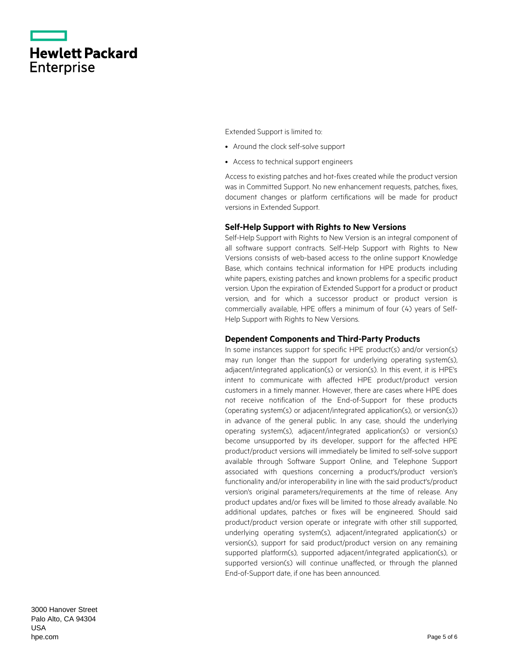|                   | <b>Hewlett Packard</b> |
|-------------------|------------------------|
| <b>Enterprise</b> |                        |

Extended Support is limited to:

- Around the clock self-solve support
- Access to technical support engineers

Access to existing patches and hot-fixes created while the product version was in Committed Support. No new enhancement requests, patches, fixes, document changes or platform certifications will be made for product versions in Extended Support.

#### **Self-Help Support with Rights to New Versions**

Self-Help Support with Rights to New Version is an integral component of all software support contracts. Self-Help Support with Rights to New Versions consists of web-based access to the online support Knowledge Base, which contains technical information for HPE products including white papers, existing patches and known problems for a specific product version. Upon the expiration of Extended Support for a product or product version, and for which a successor product or product version is commercially available, HPE offers a minimum of four (4) years of Self-Help Support with Rights to New Versions.

#### **Dependent Components and Third-Party Products**

In some instances support for specific HPE product(s) and/or version(s) may run longer than the support for underlying operating system(s), adjacent/integrated application(s) or version(s). In this event, it is HPE's intent to communicate with affected HPE product/product version customers in a timely manner. However, there are cases where HPE does not receive notification of the End-of-Support for these products (operating system(s) or adjacent/integrated application(s), or version(s)) in advance of the general public. In any case, should the underlying operating system(s), adjacent/integrated application(s) or version(s) become unsupported by its developer, support for the affected HPE product/product versions will immediately be limited to self-solve support available through Software Support Online, and Telephone Support associated with questions concerning a product's/product version's functionality and/or interoperability in line with the said product's/product version's original parameters/requirements at the time of release. Any product updates and/or fixes will be limited to those already available. No additional updates, patches or fixes will be engineered. Should said product/product version operate or integrate with other still supported, underlying operating system(s), adjacent/integrated application(s) or version(s), support for said product/product version on any remaining supported platform(s), supported adjacent/integrated application(s), or supported version(s) will continue unaffected, or through the planned End-of-Support date, if one has been announced.